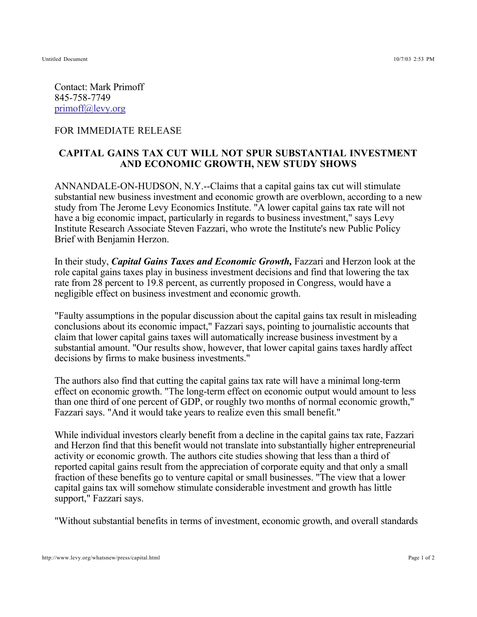Contact: Mark Primoff 845-758-7749 primoff@levy.org

## FOR IMMEDIATE RELEASE

## **CAPITAL GAINS TAX CUT WILL NOT SPUR SUBSTANTIAL INVESTMENT AND ECONOMIC GROWTH, NEW STUDY SHOWS**

ANNANDALE-ON-HUDSON, N.Y.--Claims that a capital gains tax cut will stimulate substantial new business investment and economic growth are overblown, according to a new study from The Jerome Levy Economics Institute. "A lower capital gains tax rate will not have a big economic impact, particularly in regards to business investment," says Levy Institute Research Associate Steven Fazzari, who wrote the Institute's new Public Policy Brief with Benjamin Herzon.

In their study, *Capital Gains Taxes and Economic Growth*, Fazzari and Herzon look at the role capital gains taxes play in business investment decisions and find that lowering the tax rate from 28 percent to 19.8 percent, as currently proposed in Congress, would have a negligible effect on business investment and economic growth.

"Faulty assumptions in the popular discussion about the capital gains tax result in misleading conclusions about its economic impact," Fazzari says, pointing to journalistic accounts that claim that lower capital gains taxes will automatically increase business investment by a substantial amount. "Our results show, however, that lower capital gains taxes hardly affect decisions by firms to make business investments."

The authors also find that cutting the capital gains tax rate will have a minimal long-term effect on economic growth. "The long-term effect on economic output would amount to less than one third of one percent of GDP, or roughly two months of normal economic growth," Fazzari says. "And it would take years to realize even this small benefit."

While individual investors clearly benefit from a decline in the capital gains tax rate, Fazzari and Herzon find that this benefit would not translate into substantially higher entrepreneurial activity or economic growth. The authors cite studies showing that less than a third of reported capital gains result from the appreciation of corporate equity and that only a small fraction of these benefits go to venture capital or small businesses. "The view that a lower capital gains tax will somehow stimulate considerable investment and growth has little support," Fazzari says.

"Without substantial benefits in terms of investment, economic growth, and overall standards